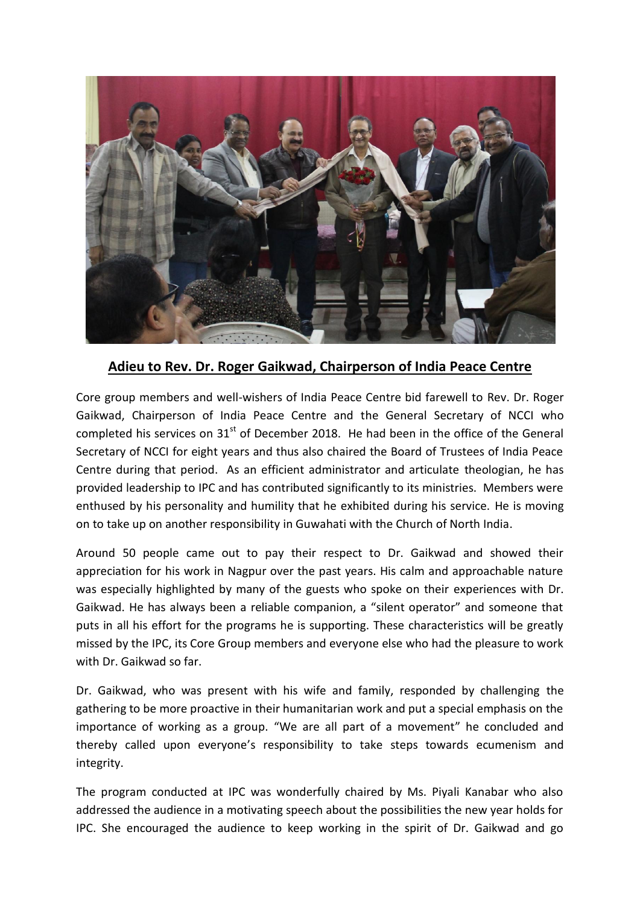

## **Adieu to Rev. Dr. Roger Gaikwad, Chairperson of India Peace Centre**

Core group members and well-wishers of India Peace Centre bid farewell to Rev. Dr. Roger Gaikwad, Chairperson of India Peace Centre and the General Secretary of NCCI who completed his services on  $31<sup>st</sup>$  of December 2018. He had been in the office of the General Secretary of NCCI for eight years and thus also chaired the Board of Trustees of India Peace Centre during that period. As an efficient administrator and articulate theologian, he has provided leadership to IPC and has contributed significantly to its ministries. Members were enthused by his personality and humility that he exhibited during his service. He is moving on to take up on another responsibility in Guwahati with the Church of North India.

Around 50 people came out to pay their respect to Dr. Gaikwad and showed their appreciation for his work in Nagpur over the past years. His calm and approachable nature was especially highlighted by many of the guests who spoke on their experiences with Dr. Gaikwad. He has always been a reliable companion, a "silent operator" and someone that puts in all his effort for the programs he is supporting. These characteristics will be greatly missed by the IPC, its Core Group members and everyone else who had the pleasure to work with Dr. Gaikwad so far.

Dr. Gaikwad, who was present with his wife and family, responded by challenging the gathering to be more proactive in their humanitarian work and put a special emphasis on the importance of working as a group. "We are all part of a movement" he concluded and thereby called upon everyone's responsibility to take steps towards ecumenism and integrity.

The program conducted at IPC was wonderfully chaired by Ms. Piyali Kanabar who also addressed the audience in a motivating speech about the possibilities the new year holds for IPC. She encouraged the audience to keep working in the spirit of Dr. Gaikwad and go